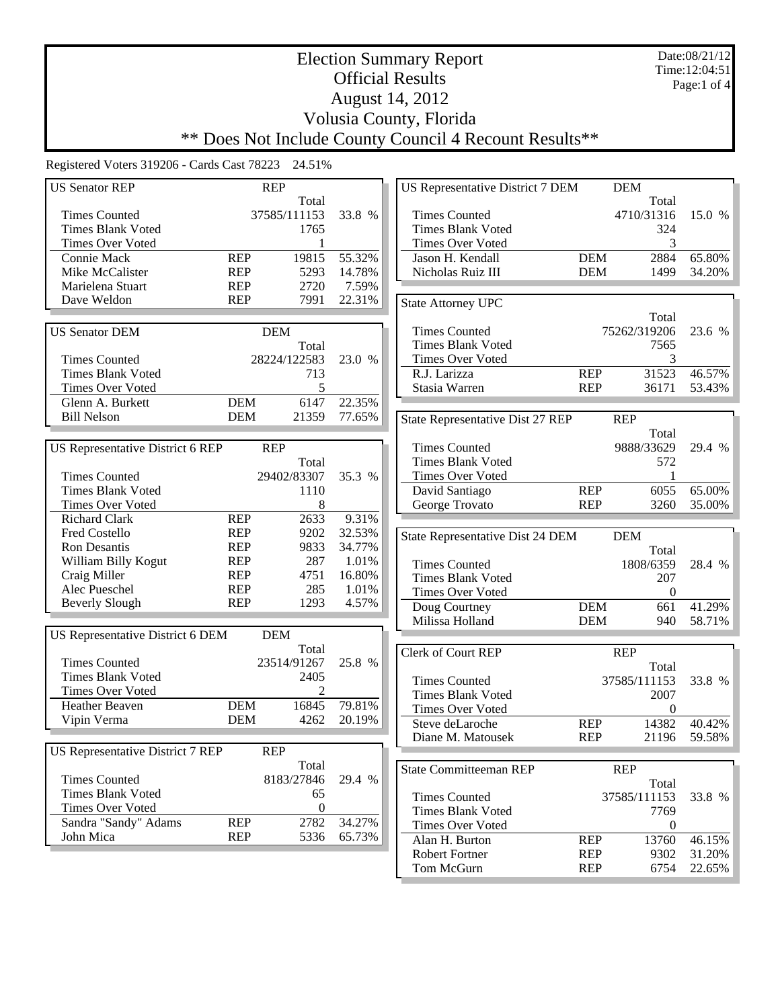Date:08/21/12 Time:12:04:51 Page:1 of 4

## Election Summary Report Official Results August 14, 2012 Volusia County, Florida \*\* Does Not Include County Council 4 Recount Results\*\*

| <b>US Senator REP</b>                   | <b>REP</b> |              |        | <b>US Representative District 7 DEM</b> |            | <b>DEM</b>   |        |
|-----------------------------------------|------------|--------------|--------|-----------------------------------------|------------|--------------|--------|
|                                         |            | Total        |        |                                         |            | Total        |        |
| <b>Times Counted</b>                    |            | 37585/111153 | 33.8 % | <b>Times Counted</b>                    |            | 4710/31316   | 15.0 % |
| <b>Times Blank Voted</b>                |            | 1765         |        | <b>Times Blank Voted</b>                |            | 324          |        |
| <b>Times Over Voted</b>                 |            | 1            |        | <b>Times Over Voted</b>                 |            | 3            |        |
| Connie Mack                             | <b>REP</b> | 19815        | 55.32% | Jason H. Kendall                        | <b>DEM</b> | 2884         | 65.80% |
| Mike McCalister                         | <b>REP</b> | 5293         | 14.78% | Nicholas Ruiz III                       | <b>DEM</b> | 1499         | 34.20% |
| Marielena Stuart                        | <b>REP</b> | 2720         | 7.59%  |                                         |            |              |        |
| Dave Weldon                             | <b>REP</b> | 7991         | 22.31% | <b>State Attorney UPC</b>               |            |              |        |
|                                         |            |              |        |                                         |            | Total        |        |
| <b>US Senator DEM</b>                   |            | <b>DEM</b>   |        | <b>Times Counted</b>                    |            | 75262/319206 | 23.6 % |
|                                         |            | Total        |        | <b>Times Blank Voted</b>                |            | 7565         |        |
| <b>Times Counted</b>                    |            | 28224/122583 | 23.0 % | Times Over Voted                        |            | 3            |        |
| <b>Times Blank Voted</b>                |            | 713          |        | R.J. Larizza                            | <b>REP</b> | 31523        | 46.57% |
| Times Over Voted                        |            | 5            |        | Stasia Warren                           | <b>REP</b> | 36171        | 53.43% |
| Glenn A. Burkett                        | <b>DEM</b> | 6147         | 22.35% |                                         |            |              |        |
| <b>Bill Nelson</b>                      | <b>DEM</b> | 21359        | 77.65% | State Representative Dist 27 REP        | <b>REP</b> |              |        |
|                                         |            |              |        |                                         |            | Total        |        |
| <b>US Representative District 6 REP</b> | <b>REP</b> |              |        | <b>Times Counted</b>                    |            | 9888/33629   | 29.4 % |
|                                         |            | Total        |        | <b>Times Blank Voted</b>                |            | 572          |        |
| <b>Times Counted</b>                    |            | 29402/83307  | 35.3 % | Times Over Voted                        |            |              |        |
| <b>Times Blank Voted</b>                |            | 1110         |        | David Santiago                          | <b>REP</b> | 6055         | 65.00% |
| <b>Times Over Voted</b>                 |            | 8            |        | George Trovato                          | <b>REP</b> | 3260         | 35.00% |
| <b>Richard Clark</b>                    | <b>REP</b> | 2633         | 9.31%  |                                         |            |              |        |
| Fred Costello                           | <b>REP</b> | 9202         | 32.53% | <b>State Representative Dist 24 DEM</b> |            | <b>DEM</b>   |        |
| Ron Desantis                            | <b>REP</b> | 9833         | 34.77% |                                         |            | Total        |        |
| William Billy Kogut                     | <b>REP</b> | 287          | 1.01%  | <b>Times Counted</b>                    |            | 1808/6359    | 28.4 % |
| Craig Miller                            | <b>REP</b> | 4751         | 16.80% | <b>Times Blank Voted</b>                |            | 207          |        |
| Alec Pueschel                           | <b>REP</b> | 285          | 1.01%  | Times Over Voted                        |            | $\mathbf{0}$ |        |
| <b>Beverly Slough</b>                   | <b>REP</b> | 1293         | 4.57%  | Doug Courtney                           | <b>DEM</b> | 661          | 41.29% |
|                                         |            |              |        | Milissa Holland                         | <b>DEM</b> | 940          | 58.71% |
| US Representative District 6 DEM        |            | <b>DEM</b>   |        |                                         |            |              |        |
|                                         |            | Total        |        | Clerk of Court REP                      | <b>REP</b> |              |        |
| <b>Times Counted</b>                    |            | 23514/91267  | 25.8 % |                                         |            | Total        |        |
| <b>Times Blank Voted</b>                |            | 2405         |        | <b>Times Counted</b>                    |            | 37585/111153 | 33.8 % |
| Times Over Voted                        |            | 2            |        | <b>Times Blank Voted</b>                |            | 2007         |        |
| <b>Heather Beaven</b>                   | <b>DEM</b> | 16845        | 79.81% | <b>Times Over Voted</b>                 |            | $\Omega$     |        |
| Vipin Verma                             | <b>DEM</b> | 4262         | 20.19% | Steve deLaroche                         | <b>REP</b> | 14382        | 40.42% |
|                                         |            |              |        | Diane M. Matousek                       | <b>REP</b> | 21196        | 59.58% |
| <b>US Representative District 7 REP</b> | <b>REP</b> |              |        |                                         |            |              |        |
|                                         |            | Total        |        | <b>State Committeeman REP</b>           | <b>REP</b> |              |        |
| <b>Times Counted</b>                    |            | 8183/27846   | 29.4 % |                                         |            | Total        |        |
| <b>Times Blank Voted</b>                |            | 65           |        | <b>Times Counted</b>                    |            | 37585/111153 | 33.8 % |
| <b>Times Over Voted</b>                 |            | $\mathbf{0}$ |        | <b>Times Blank Voted</b>                |            | 7769         |        |
| Sandra "Sandy" Adams                    | <b>REP</b> | 2782         | 34.27% | <b>Times Over Voted</b>                 |            | $\theta$     |        |
| John Mica                               | <b>REP</b> | 5336         | 65.73% | Alan H. Burton                          | <b>REP</b> | 13760        | 46.15% |
|                                         |            |              |        | Robert Fortner                          | <b>REP</b> | 9302         | 31.20% |
|                                         |            |              |        | Tom McGurn                              | <b>REP</b> | 6754         | 22.65% |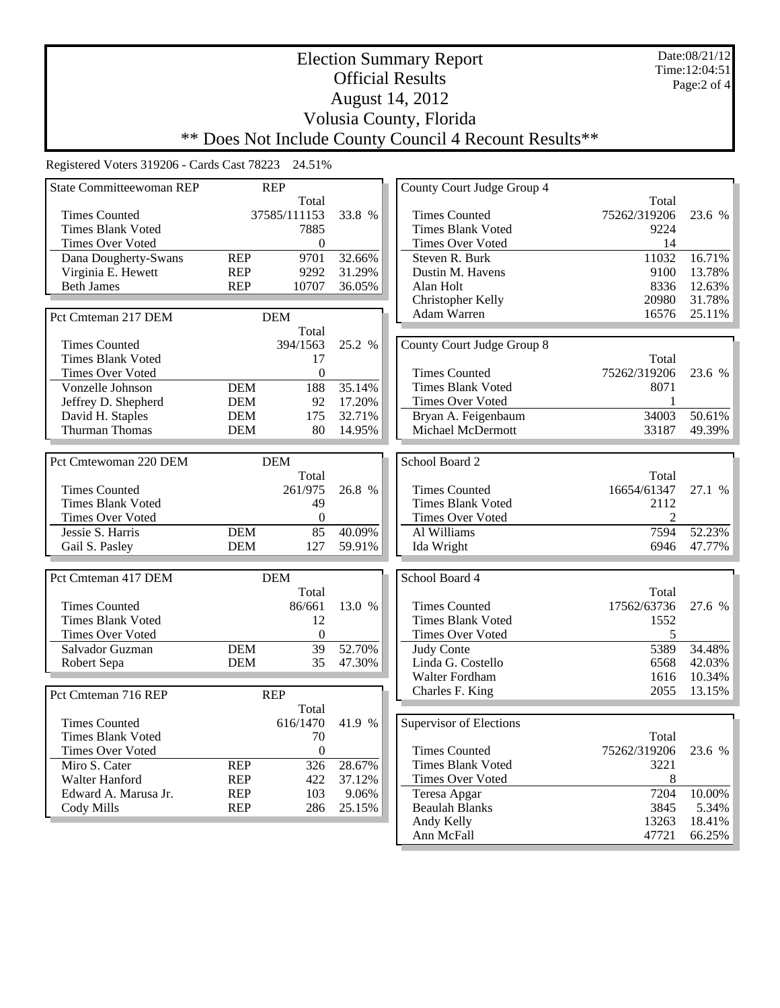Date:08/21/12 Time:12:04:51 Page:2 of 4

## Election Summary Report Official Results August 14, 2012 Volusia County, Florida \*\* Does Not Include County Council 4 Recount Results\*\*

| Total<br>Total<br>37585/111153<br>33.8 %<br><b>Times Counted</b><br><b>Times Counted</b><br>75262/319206<br>23.6 %<br><b>Times Blank Voted</b><br>7885<br><b>Times Blank Voted</b><br>9224<br><b>Times Over Voted</b><br><b>Times Over Voted</b><br>$\mathbf{0}$<br>14<br>Dana Dougherty-Swans<br>32.66%<br>Steven R. Burk<br>16.71%<br><b>REP</b><br>9701<br>11032<br>9292<br>31.29%<br>Virginia E. Hewett<br><b>REP</b><br>9100<br>13.78%<br>Dustin M. Havens<br><b>Beth James</b><br><b>REP</b><br>10707<br>36.05%<br>8336<br>12.63%<br>Alan Holt<br>20980<br>31.78%<br>Christopher Kelly<br>Adam Warren<br>16576<br>25.11%<br>Pct Cmteman 217 DEM<br><b>DEM</b><br>Total<br>County Court Judge Group 8<br><b>Times Counted</b><br>394/1563<br>25.2 %<br><b>Times Blank Voted</b><br>17<br>Total<br>$\mathbf{0}$<br>75262/319206<br><b>Times Over Voted</b><br><b>Times Counted</b><br>23.6 %<br>188<br>35.14%<br><b>Times Blank Voted</b><br>8071<br>Vonzelle Johnson<br><b>DEM</b><br><b>Times Over Voted</b><br>17.20%<br>Jeffrey D. Shepherd<br><b>DEM</b><br>92<br>1<br>50.61%<br>Bryan A. Feigenbaum<br>34003<br>David H. Staples<br><b>DEM</b><br>175<br>32.71%<br>Thurman Thomas<br><b>DEM</b><br>80<br>14.95%<br>Michael McDermott<br>33187<br>49.39%<br>Pct Cmtewoman 220 DEM<br>School Board 2<br><b>DEM</b><br>Total<br>Total<br><b>Times Counted</b><br>261/975<br>26.8 %<br><b>Times Counted</b><br>16654/61347<br>27.1 %<br>49<br><b>Times Blank Voted</b><br><b>Times Blank Voted</b><br>2112<br><b>Times Over Voted</b><br><b>Times Over Voted</b><br>$\overline{2}$<br>$\Omega$<br>40.09%<br>7594<br>Jessie S. Harris<br><b>DEM</b><br>85<br>Al Williams<br>52.23%<br>Gail S. Pasley<br><b>DEM</b><br>59.91%<br>Ida Wright<br>47.77%<br>127<br>6946<br>Pct Cmteman 417 DEM<br><b>DEM</b><br>School Board 4<br>Total<br>Total<br><b>Times Counted</b><br>13.0 %<br><b>Times Counted</b><br>17562/63736<br>27.6 %<br>86/661<br><b>Times Blank Voted</b><br>12<br><b>Times Blank Voted</b><br>1552<br><b>Times Over Voted</b><br>$\Omega$<br><b>Times Over Voted</b><br>5<br>39<br>52.70%<br>34.48%<br>Salvador Guzman<br><b>DEM</b><br>Judy Conte<br>5389<br>35<br>47.30%<br>Linda G. Costello<br>42.03%<br>Robert Sepa<br><b>DEM</b><br>6568<br>10.34%<br>Walter Fordham<br>1616<br>Charles F. King<br>2055<br>13.15%<br>Pct Cmteman 716 REP<br><b>REP</b><br>Total<br><b>Times Counted</b><br>41.9 %<br>Supervisor of Elections<br>616/1470<br><b>Times Blank Voted</b><br>Total<br>70<br><b>Times Counted</b><br><b>Times Over Voted</b><br>$\Omega$<br>75262/319206<br>23.6 %<br>28.67%<br><b>Times Blank Voted</b><br>3221<br>326<br>Miro S. Cater<br><b>REP</b><br>8<br>Walter Hanford<br><b>REP</b><br>422<br>37.12%<br>Times Over Voted<br>10.00%<br><b>REP</b><br>103<br>9.06%<br>7204<br>Edward A. Marusa Jr.<br>Teresa Apgar<br><b>REP</b><br>286<br>25.15%<br><b>Beaulah Blanks</b><br>3845<br>5.34%<br>Cody Mills<br>13263<br>18.41%<br>Andy Kelly | <b>State Committeewoman REP</b> | <b>REP</b> | County Court Judge Group 4 |  |
|------------------------------------------------------------------------------------------------------------------------------------------------------------------------------------------------------------------------------------------------------------------------------------------------------------------------------------------------------------------------------------------------------------------------------------------------------------------------------------------------------------------------------------------------------------------------------------------------------------------------------------------------------------------------------------------------------------------------------------------------------------------------------------------------------------------------------------------------------------------------------------------------------------------------------------------------------------------------------------------------------------------------------------------------------------------------------------------------------------------------------------------------------------------------------------------------------------------------------------------------------------------------------------------------------------------------------------------------------------------------------------------------------------------------------------------------------------------------------------------------------------------------------------------------------------------------------------------------------------------------------------------------------------------------------------------------------------------------------------------------------------------------------------------------------------------------------------------------------------------------------------------------------------------------------------------------------------------------------------------------------------------------------------------------------------------------------------------------------------------------------------------------------------------------------------------------------------------------------------------------------------------------------------------------------------------------------------------------------------------------------------------------------------------------------------------------------------------------------------------------------------------------------------------------------------------------------------------------------------------------------------------------------------------------------------------------------------------------------------------------------------------------------------------------------------------------------------------------------------------------------------------------------------------------------------------------------------------------------------|---------------------------------|------------|----------------------------|--|
|                                                                                                                                                                                                                                                                                                                                                                                                                                                                                                                                                                                                                                                                                                                                                                                                                                                                                                                                                                                                                                                                                                                                                                                                                                                                                                                                                                                                                                                                                                                                                                                                                                                                                                                                                                                                                                                                                                                                                                                                                                                                                                                                                                                                                                                                                                                                                                                                                                                                                                                                                                                                                                                                                                                                                                                                                                                                                                                                                                                    |                                 |            |                            |  |
|                                                                                                                                                                                                                                                                                                                                                                                                                                                                                                                                                                                                                                                                                                                                                                                                                                                                                                                                                                                                                                                                                                                                                                                                                                                                                                                                                                                                                                                                                                                                                                                                                                                                                                                                                                                                                                                                                                                                                                                                                                                                                                                                                                                                                                                                                                                                                                                                                                                                                                                                                                                                                                                                                                                                                                                                                                                                                                                                                                                    |                                 |            |                            |  |
|                                                                                                                                                                                                                                                                                                                                                                                                                                                                                                                                                                                                                                                                                                                                                                                                                                                                                                                                                                                                                                                                                                                                                                                                                                                                                                                                                                                                                                                                                                                                                                                                                                                                                                                                                                                                                                                                                                                                                                                                                                                                                                                                                                                                                                                                                                                                                                                                                                                                                                                                                                                                                                                                                                                                                                                                                                                                                                                                                                                    |                                 |            |                            |  |
|                                                                                                                                                                                                                                                                                                                                                                                                                                                                                                                                                                                                                                                                                                                                                                                                                                                                                                                                                                                                                                                                                                                                                                                                                                                                                                                                                                                                                                                                                                                                                                                                                                                                                                                                                                                                                                                                                                                                                                                                                                                                                                                                                                                                                                                                                                                                                                                                                                                                                                                                                                                                                                                                                                                                                                                                                                                                                                                                                                                    |                                 |            |                            |  |
|                                                                                                                                                                                                                                                                                                                                                                                                                                                                                                                                                                                                                                                                                                                                                                                                                                                                                                                                                                                                                                                                                                                                                                                                                                                                                                                                                                                                                                                                                                                                                                                                                                                                                                                                                                                                                                                                                                                                                                                                                                                                                                                                                                                                                                                                                                                                                                                                                                                                                                                                                                                                                                                                                                                                                                                                                                                                                                                                                                                    |                                 |            |                            |  |
|                                                                                                                                                                                                                                                                                                                                                                                                                                                                                                                                                                                                                                                                                                                                                                                                                                                                                                                                                                                                                                                                                                                                                                                                                                                                                                                                                                                                                                                                                                                                                                                                                                                                                                                                                                                                                                                                                                                                                                                                                                                                                                                                                                                                                                                                                                                                                                                                                                                                                                                                                                                                                                                                                                                                                                                                                                                                                                                                                                                    |                                 |            |                            |  |
|                                                                                                                                                                                                                                                                                                                                                                                                                                                                                                                                                                                                                                                                                                                                                                                                                                                                                                                                                                                                                                                                                                                                                                                                                                                                                                                                                                                                                                                                                                                                                                                                                                                                                                                                                                                                                                                                                                                                                                                                                                                                                                                                                                                                                                                                                                                                                                                                                                                                                                                                                                                                                                                                                                                                                                                                                                                                                                                                                                                    |                                 |            |                            |  |
|                                                                                                                                                                                                                                                                                                                                                                                                                                                                                                                                                                                                                                                                                                                                                                                                                                                                                                                                                                                                                                                                                                                                                                                                                                                                                                                                                                                                                                                                                                                                                                                                                                                                                                                                                                                                                                                                                                                                                                                                                                                                                                                                                                                                                                                                                                                                                                                                                                                                                                                                                                                                                                                                                                                                                                                                                                                                                                                                                                                    |                                 |            |                            |  |
|                                                                                                                                                                                                                                                                                                                                                                                                                                                                                                                                                                                                                                                                                                                                                                                                                                                                                                                                                                                                                                                                                                                                                                                                                                                                                                                                                                                                                                                                                                                                                                                                                                                                                                                                                                                                                                                                                                                                                                                                                                                                                                                                                                                                                                                                                                                                                                                                                                                                                                                                                                                                                                                                                                                                                                                                                                                                                                                                                                                    |                                 |            |                            |  |
|                                                                                                                                                                                                                                                                                                                                                                                                                                                                                                                                                                                                                                                                                                                                                                                                                                                                                                                                                                                                                                                                                                                                                                                                                                                                                                                                                                                                                                                                                                                                                                                                                                                                                                                                                                                                                                                                                                                                                                                                                                                                                                                                                                                                                                                                                                                                                                                                                                                                                                                                                                                                                                                                                                                                                                                                                                                                                                                                                                                    |                                 |            |                            |  |
|                                                                                                                                                                                                                                                                                                                                                                                                                                                                                                                                                                                                                                                                                                                                                                                                                                                                                                                                                                                                                                                                                                                                                                                                                                                                                                                                                                                                                                                                                                                                                                                                                                                                                                                                                                                                                                                                                                                                                                                                                                                                                                                                                                                                                                                                                                                                                                                                                                                                                                                                                                                                                                                                                                                                                                                                                                                                                                                                                                                    |                                 |            |                            |  |
|                                                                                                                                                                                                                                                                                                                                                                                                                                                                                                                                                                                                                                                                                                                                                                                                                                                                                                                                                                                                                                                                                                                                                                                                                                                                                                                                                                                                                                                                                                                                                                                                                                                                                                                                                                                                                                                                                                                                                                                                                                                                                                                                                                                                                                                                                                                                                                                                                                                                                                                                                                                                                                                                                                                                                                                                                                                                                                                                                                                    |                                 |            |                            |  |
|                                                                                                                                                                                                                                                                                                                                                                                                                                                                                                                                                                                                                                                                                                                                                                                                                                                                                                                                                                                                                                                                                                                                                                                                                                                                                                                                                                                                                                                                                                                                                                                                                                                                                                                                                                                                                                                                                                                                                                                                                                                                                                                                                                                                                                                                                                                                                                                                                                                                                                                                                                                                                                                                                                                                                                                                                                                                                                                                                                                    |                                 |            |                            |  |
|                                                                                                                                                                                                                                                                                                                                                                                                                                                                                                                                                                                                                                                                                                                                                                                                                                                                                                                                                                                                                                                                                                                                                                                                                                                                                                                                                                                                                                                                                                                                                                                                                                                                                                                                                                                                                                                                                                                                                                                                                                                                                                                                                                                                                                                                                                                                                                                                                                                                                                                                                                                                                                                                                                                                                                                                                                                                                                                                                                                    |                                 |            |                            |  |
|                                                                                                                                                                                                                                                                                                                                                                                                                                                                                                                                                                                                                                                                                                                                                                                                                                                                                                                                                                                                                                                                                                                                                                                                                                                                                                                                                                                                                                                                                                                                                                                                                                                                                                                                                                                                                                                                                                                                                                                                                                                                                                                                                                                                                                                                                                                                                                                                                                                                                                                                                                                                                                                                                                                                                                                                                                                                                                                                                                                    |                                 |            |                            |  |
|                                                                                                                                                                                                                                                                                                                                                                                                                                                                                                                                                                                                                                                                                                                                                                                                                                                                                                                                                                                                                                                                                                                                                                                                                                                                                                                                                                                                                                                                                                                                                                                                                                                                                                                                                                                                                                                                                                                                                                                                                                                                                                                                                                                                                                                                                                                                                                                                                                                                                                                                                                                                                                                                                                                                                                                                                                                                                                                                                                                    |                                 |            |                            |  |
|                                                                                                                                                                                                                                                                                                                                                                                                                                                                                                                                                                                                                                                                                                                                                                                                                                                                                                                                                                                                                                                                                                                                                                                                                                                                                                                                                                                                                                                                                                                                                                                                                                                                                                                                                                                                                                                                                                                                                                                                                                                                                                                                                                                                                                                                                                                                                                                                                                                                                                                                                                                                                                                                                                                                                                                                                                                                                                                                                                                    |                                 |            |                            |  |
|                                                                                                                                                                                                                                                                                                                                                                                                                                                                                                                                                                                                                                                                                                                                                                                                                                                                                                                                                                                                                                                                                                                                                                                                                                                                                                                                                                                                                                                                                                                                                                                                                                                                                                                                                                                                                                                                                                                                                                                                                                                                                                                                                                                                                                                                                                                                                                                                                                                                                                                                                                                                                                                                                                                                                                                                                                                                                                                                                                                    |                                 |            |                            |  |
|                                                                                                                                                                                                                                                                                                                                                                                                                                                                                                                                                                                                                                                                                                                                                                                                                                                                                                                                                                                                                                                                                                                                                                                                                                                                                                                                                                                                                                                                                                                                                                                                                                                                                                                                                                                                                                                                                                                                                                                                                                                                                                                                                                                                                                                                                                                                                                                                                                                                                                                                                                                                                                                                                                                                                                                                                                                                                                                                                                                    |                                 |            |                            |  |
|                                                                                                                                                                                                                                                                                                                                                                                                                                                                                                                                                                                                                                                                                                                                                                                                                                                                                                                                                                                                                                                                                                                                                                                                                                                                                                                                                                                                                                                                                                                                                                                                                                                                                                                                                                                                                                                                                                                                                                                                                                                                                                                                                                                                                                                                                                                                                                                                                                                                                                                                                                                                                                                                                                                                                                                                                                                                                                                                                                                    |                                 |            |                            |  |
|                                                                                                                                                                                                                                                                                                                                                                                                                                                                                                                                                                                                                                                                                                                                                                                                                                                                                                                                                                                                                                                                                                                                                                                                                                                                                                                                                                                                                                                                                                                                                                                                                                                                                                                                                                                                                                                                                                                                                                                                                                                                                                                                                                                                                                                                                                                                                                                                                                                                                                                                                                                                                                                                                                                                                                                                                                                                                                                                                                                    |                                 |            |                            |  |
|                                                                                                                                                                                                                                                                                                                                                                                                                                                                                                                                                                                                                                                                                                                                                                                                                                                                                                                                                                                                                                                                                                                                                                                                                                                                                                                                                                                                                                                                                                                                                                                                                                                                                                                                                                                                                                                                                                                                                                                                                                                                                                                                                                                                                                                                                                                                                                                                                                                                                                                                                                                                                                                                                                                                                                                                                                                                                                                                                                                    |                                 |            |                            |  |
|                                                                                                                                                                                                                                                                                                                                                                                                                                                                                                                                                                                                                                                                                                                                                                                                                                                                                                                                                                                                                                                                                                                                                                                                                                                                                                                                                                                                                                                                                                                                                                                                                                                                                                                                                                                                                                                                                                                                                                                                                                                                                                                                                                                                                                                                                                                                                                                                                                                                                                                                                                                                                                                                                                                                                                                                                                                                                                                                                                                    |                                 |            |                            |  |
|                                                                                                                                                                                                                                                                                                                                                                                                                                                                                                                                                                                                                                                                                                                                                                                                                                                                                                                                                                                                                                                                                                                                                                                                                                                                                                                                                                                                                                                                                                                                                                                                                                                                                                                                                                                                                                                                                                                                                                                                                                                                                                                                                                                                                                                                                                                                                                                                                                                                                                                                                                                                                                                                                                                                                                                                                                                                                                                                                                                    |                                 |            |                            |  |
|                                                                                                                                                                                                                                                                                                                                                                                                                                                                                                                                                                                                                                                                                                                                                                                                                                                                                                                                                                                                                                                                                                                                                                                                                                                                                                                                                                                                                                                                                                                                                                                                                                                                                                                                                                                                                                                                                                                                                                                                                                                                                                                                                                                                                                                                                                                                                                                                                                                                                                                                                                                                                                                                                                                                                                                                                                                                                                                                                                                    |                                 |            |                            |  |
|                                                                                                                                                                                                                                                                                                                                                                                                                                                                                                                                                                                                                                                                                                                                                                                                                                                                                                                                                                                                                                                                                                                                                                                                                                                                                                                                                                                                                                                                                                                                                                                                                                                                                                                                                                                                                                                                                                                                                                                                                                                                                                                                                                                                                                                                                                                                                                                                                                                                                                                                                                                                                                                                                                                                                                                                                                                                                                                                                                                    |                                 |            |                            |  |
|                                                                                                                                                                                                                                                                                                                                                                                                                                                                                                                                                                                                                                                                                                                                                                                                                                                                                                                                                                                                                                                                                                                                                                                                                                                                                                                                                                                                                                                                                                                                                                                                                                                                                                                                                                                                                                                                                                                                                                                                                                                                                                                                                                                                                                                                                                                                                                                                                                                                                                                                                                                                                                                                                                                                                                                                                                                                                                                                                                                    |                                 |            |                            |  |
|                                                                                                                                                                                                                                                                                                                                                                                                                                                                                                                                                                                                                                                                                                                                                                                                                                                                                                                                                                                                                                                                                                                                                                                                                                                                                                                                                                                                                                                                                                                                                                                                                                                                                                                                                                                                                                                                                                                                                                                                                                                                                                                                                                                                                                                                                                                                                                                                                                                                                                                                                                                                                                                                                                                                                                                                                                                                                                                                                                                    |                                 |            |                            |  |
|                                                                                                                                                                                                                                                                                                                                                                                                                                                                                                                                                                                                                                                                                                                                                                                                                                                                                                                                                                                                                                                                                                                                                                                                                                                                                                                                                                                                                                                                                                                                                                                                                                                                                                                                                                                                                                                                                                                                                                                                                                                                                                                                                                                                                                                                                                                                                                                                                                                                                                                                                                                                                                                                                                                                                                                                                                                                                                                                                                                    |                                 |            |                            |  |
|                                                                                                                                                                                                                                                                                                                                                                                                                                                                                                                                                                                                                                                                                                                                                                                                                                                                                                                                                                                                                                                                                                                                                                                                                                                                                                                                                                                                                                                                                                                                                                                                                                                                                                                                                                                                                                                                                                                                                                                                                                                                                                                                                                                                                                                                                                                                                                                                                                                                                                                                                                                                                                                                                                                                                                                                                                                                                                                                                                                    |                                 |            |                            |  |
|                                                                                                                                                                                                                                                                                                                                                                                                                                                                                                                                                                                                                                                                                                                                                                                                                                                                                                                                                                                                                                                                                                                                                                                                                                                                                                                                                                                                                                                                                                                                                                                                                                                                                                                                                                                                                                                                                                                                                                                                                                                                                                                                                                                                                                                                                                                                                                                                                                                                                                                                                                                                                                                                                                                                                                                                                                                                                                                                                                                    |                                 |            |                            |  |
|                                                                                                                                                                                                                                                                                                                                                                                                                                                                                                                                                                                                                                                                                                                                                                                                                                                                                                                                                                                                                                                                                                                                                                                                                                                                                                                                                                                                                                                                                                                                                                                                                                                                                                                                                                                                                                                                                                                                                                                                                                                                                                                                                                                                                                                                                                                                                                                                                                                                                                                                                                                                                                                                                                                                                                                                                                                                                                                                                                                    |                                 |            |                            |  |
|                                                                                                                                                                                                                                                                                                                                                                                                                                                                                                                                                                                                                                                                                                                                                                                                                                                                                                                                                                                                                                                                                                                                                                                                                                                                                                                                                                                                                                                                                                                                                                                                                                                                                                                                                                                                                                                                                                                                                                                                                                                                                                                                                                                                                                                                                                                                                                                                                                                                                                                                                                                                                                                                                                                                                                                                                                                                                                                                                                                    |                                 |            |                            |  |
|                                                                                                                                                                                                                                                                                                                                                                                                                                                                                                                                                                                                                                                                                                                                                                                                                                                                                                                                                                                                                                                                                                                                                                                                                                                                                                                                                                                                                                                                                                                                                                                                                                                                                                                                                                                                                                                                                                                                                                                                                                                                                                                                                                                                                                                                                                                                                                                                                                                                                                                                                                                                                                                                                                                                                                                                                                                                                                                                                                                    |                                 |            |                            |  |
|                                                                                                                                                                                                                                                                                                                                                                                                                                                                                                                                                                                                                                                                                                                                                                                                                                                                                                                                                                                                                                                                                                                                                                                                                                                                                                                                                                                                                                                                                                                                                                                                                                                                                                                                                                                                                                                                                                                                                                                                                                                                                                                                                                                                                                                                                                                                                                                                                                                                                                                                                                                                                                                                                                                                                                                                                                                                                                                                                                                    |                                 |            |                            |  |
|                                                                                                                                                                                                                                                                                                                                                                                                                                                                                                                                                                                                                                                                                                                                                                                                                                                                                                                                                                                                                                                                                                                                                                                                                                                                                                                                                                                                                                                                                                                                                                                                                                                                                                                                                                                                                                                                                                                                                                                                                                                                                                                                                                                                                                                                                                                                                                                                                                                                                                                                                                                                                                                                                                                                                                                                                                                                                                                                                                                    |                                 |            |                            |  |
|                                                                                                                                                                                                                                                                                                                                                                                                                                                                                                                                                                                                                                                                                                                                                                                                                                                                                                                                                                                                                                                                                                                                                                                                                                                                                                                                                                                                                                                                                                                                                                                                                                                                                                                                                                                                                                                                                                                                                                                                                                                                                                                                                                                                                                                                                                                                                                                                                                                                                                                                                                                                                                                                                                                                                                                                                                                                                                                                                                                    |                                 |            |                            |  |
|                                                                                                                                                                                                                                                                                                                                                                                                                                                                                                                                                                                                                                                                                                                                                                                                                                                                                                                                                                                                                                                                                                                                                                                                                                                                                                                                                                                                                                                                                                                                                                                                                                                                                                                                                                                                                                                                                                                                                                                                                                                                                                                                                                                                                                                                                                                                                                                                                                                                                                                                                                                                                                                                                                                                                                                                                                                                                                                                                                                    |                                 |            |                            |  |
|                                                                                                                                                                                                                                                                                                                                                                                                                                                                                                                                                                                                                                                                                                                                                                                                                                                                                                                                                                                                                                                                                                                                                                                                                                                                                                                                                                                                                                                                                                                                                                                                                                                                                                                                                                                                                                                                                                                                                                                                                                                                                                                                                                                                                                                                                                                                                                                                                                                                                                                                                                                                                                                                                                                                                                                                                                                                                                                                                                                    |                                 |            |                            |  |
|                                                                                                                                                                                                                                                                                                                                                                                                                                                                                                                                                                                                                                                                                                                                                                                                                                                                                                                                                                                                                                                                                                                                                                                                                                                                                                                                                                                                                                                                                                                                                                                                                                                                                                                                                                                                                                                                                                                                                                                                                                                                                                                                                                                                                                                                                                                                                                                                                                                                                                                                                                                                                                                                                                                                                                                                                                                                                                                                                                                    |                                 |            |                            |  |
|                                                                                                                                                                                                                                                                                                                                                                                                                                                                                                                                                                                                                                                                                                                                                                                                                                                                                                                                                                                                                                                                                                                                                                                                                                                                                                                                                                                                                                                                                                                                                                                                                                                                                                                                                                                                                                                                                                                                                                                                                                                                                                                                                                                                                                                                                                                                                                                                                                                                                                                                                                                                                                                                                                                                                                                                                                                                                                                                                                                    |                                 |            |                            |  |
|                                                                                                                                                                                                                                                                                                                                                                                                                                                                                                                                                                                                                                                                                                                                                                                                                                                                                                                                                                                                                                                                                                                                                                                                                                                                                                                                                                                                                                                                                                                                                                                                                                                                                                                                                                                                                                                                                                                                                                                                                                                                                                                                                                                                                                                                                                                                                                                                                                                                                                                                                                                                                                                                                                                                                                                                                                                                                                                                                                                    |                                 |            |                            |  |
|                                                                                                                                                                                                                                                                                                                                                                                                                                                                                                                                                                                                                                                                                                                                                                                                                                                                                                                                                                                                                                                                                                                                                                                                                                                                                                                                                                                                                                                                                                                                                                                                                                                                                                                                                                                                                                                                                                                                                                                                                                                                                                                                                                                                                                                                                                                                                                                                                                                                                                                                                                                                                                                                                                                                                                                                                                                                                                                                                                                    |                                 |            |                            |  |
|                                                                                                                                                                                                                                                                                                                                                                                                                                                                                                                                                                                                                                                                                                                                                                                                                                                                                                                                                                                                                                                                                                                                                                                                                                                                                                                                                                                                                                                                                                                                                                                                                                                                                                                                                                                                                                                                                                                                                                                                                                                                                                                                                                                                                                                                                                                                                                                                                                                                                                                                                                                                                                                                                                                                                                                                                                                                                                                                                                                    |                                 |            |                            |  |
|                                                                                                                                                                                                                                                                                                                                                                                                                                                                                                                                                                                                                                                                                                                                                                                                                                                                                                                                                                                                                                                                                                                                                                                                                                                                                                                                                                                                                                                                                                                                                                                                                                                                                                                                                                                                                                                                                                                                                                                                                                                                                                                                                                                                                                                                                                                                                                                                                                                                                                                                                                                                                                                                                                                                                                                                                                                                                                                                                                                    |                                 |            |                            |  |
| 47721<br>66.25%<br>Ann McFall                                                                                                                                                                                                                                                                                                                                                                                                                                                                                                                                                                                                                                                                                                                                                                                                                                                                                                                                                                                                                                                                                                                                                                                                                                                                                                                                                                                                                                                                                                                                                                                                                                                                                                                                                                                                                                                                                                                                                                                                                                                                                                                                                                                                                                                                                                                                                                                                                                                                                                                                                                                                                                                                                                                                                                                                                                                                                                                                                      |                                 |            |                            |  |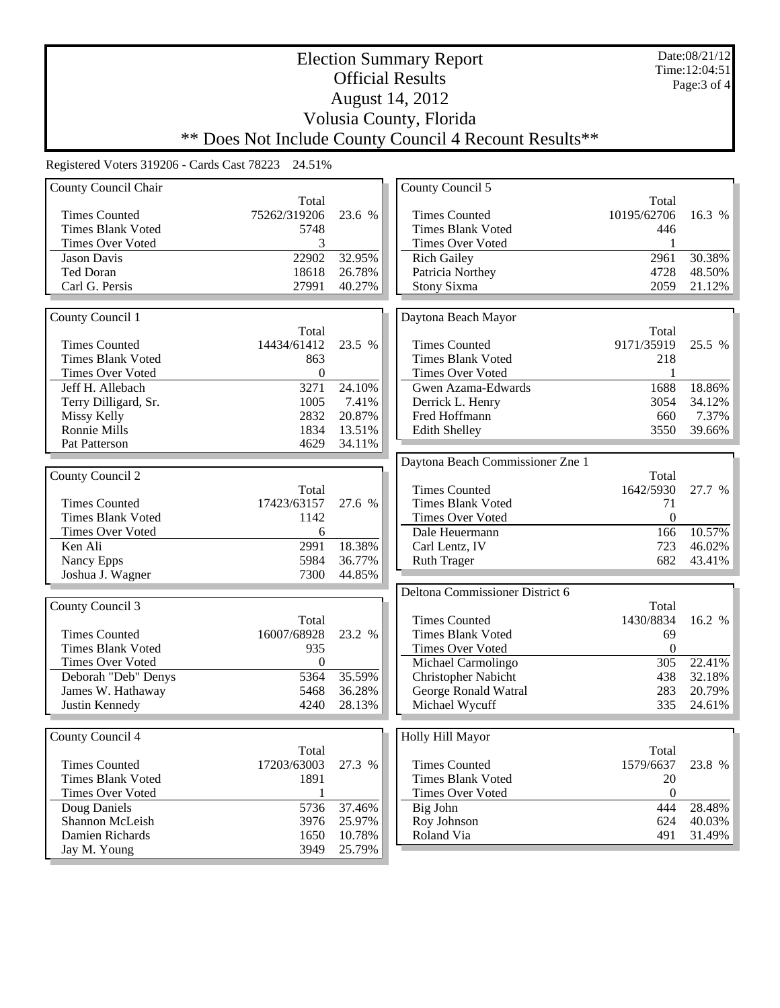Election Summary Report Official Results August 14, 2012 Volusia County, Florida Date:08/21/12 Time:12:04:51 Page:3 of 4

## \*\* Does Not Include County Council 4 Recount Results\*\*

| County Council Chair     |              |        | County Council 5                 |                  |        |
|--------------------------|--------------|--------|----------------------------------|------------------|--------|
|                          | Total        |        |                                  | Total            |        |
| <b>Times Counted</b>     | 75262/319206 | 23.6 % | <b>Times Counted</b>             | 10195/62706      | 16.3 % |
| <b>Times Blank Voted</b> | 5748         |        | <b>Times Blank Voted</b>         | 446              |        |
| <b>Times Over Voted</b>  | 3            |        | Times Over Voted                 | 1                |        |
| <b>Jason Davis</b>       | 22902        | 32.95% | <b>Rich Gailey</b>               | 2961             | 30.38% |
| <b>Ted Doran</b>         | 18618        | 26.78% | Patricia Northey                 | 4728             | 48.50% |
| Carl G. Persis           | 27991        | 40.27% | Stony Sixma                      | 2059             | 21.12% |
|                          |              |        |                                  |                  |        |
| County Council 1         |              |        | Daytona Beach Mayor              |                  |        |
|                          | Total        |        |                                  | Total            |        |
| <b>Times Counted</b>     | 14434/61412  | 23.5 % | <b>Times Counted</b>             | 9171/35919       | 25.5 % |
| <b>Times Blank Voted</b> | 863          |        | <b>Times Blank Voted</b>         | 218              |        |
| <b>Times Over Voted</b>  | $\mathbf{0}$ |        | Times Over Voted                 | 1                |        |
| Jeff H. Allebach         | 3271         | 24.10% | Gwen Azama-Edwards               | 1688             | 18.86% |
| Terry Dilligard, Sr.     | 1005         | 7.41%  | Derrick L. Henry                 | 3054             | 34.12% |
| Missy Kelly              | 2832         | 20.87% | Fred Hoffmann                    | 660              | 7.37%  |
| Ronnie Mills             | 1834         | 13.51% | <b>Edith Shelley</b>             | 3550             | 39.66% |
| Pat Patterson            | 4629         | 34.11% |                                  |                  |        |
|                          |              |        | Daytona Beach Commissioner Zne 1 |                  |        |
| County Council 2         |              |        |                                  | Total            |        |
|                          | Total        |        | <b>Times Counted</b>             | 1642/5930        | 27.7 % |
| <b>Times Counted</b>     | 17423/63157  | 27.6 % | <b>Times Blank Voted</b>         | 71               |        |
| <b>Times Blank Voted</b> | 1142         |        | Times Over Voted                 | $\mathbf{0}$     |        |
| <b>Times Over Voted</b>  | 6            |        | Dale Heuermann                   | 166              | 10.57% |
| Ken Ali                  | 2991         | 18.38% | Carl Lentz, IV                   | 723              | 46.02% |
| Nancy Epps               | 5984         | 36.77% | <b>Ruth Trager</b>               | 682              | 43.41% |
| Joshua J. Wagner         | 7300         | 44.85% |                                  |                  |        |
|                          |              |        | Deltona Commissioner District 6  |                  |        |
| County Council 3         |              |        |                                  | Total            |        |
|                          | Total        |        | <b>Times Counted</b>             | 1430/8834        | 16.2 % |
| <b>Times Counted</b>     | 16007/68928  | 23.2 % | <b>Times Blank Voted</b>         | 69               |        |
| <b>Times Blank Voted</b> | 935          |        | Times Over Voted                 | $\mathbf{0}$     |        |
| <b>Times Over Voted</b>  | $\mathbf{0}$ |        | Michael Carmolingo               | 305              | 22.41% |
| Deborah "Deb" Denys      | 5364         | 35.59% | <b>Christopher Nabicht</b>       | 438              | 32.18% |
| James W. Hathaway        | 5468         | 36.28% | George Ronald Watral             | 283              | 20.79% |
| Justin Kennedy           | 4240         | 28.13% | Michael Wycuff                   | 335              | 24.61% |
|                          |              |        |                                  |                  |        |
| County Council 4         |              |        | Holly Hill Mayor                 |                  |        |
|                          | Total        |        |                                  | Total            |        |
| <b>Times Counted</b>     | 17203/63003  | 27.3 % | <b>Times Counted</b>             | 1579/6637        | 23.8 % |
| <b>Times Blank Voted</b> | 1891         |        | <b>Times Blank Voted</b>         | 20               |        |
| Times Over Voted         | 1            |        | Times Over Voted                 | $\boldsymbol{0}$ |        |
| Doug Daniels             | 5736         | 37.46% | Big John                         | 444              | 28.48% |
| Shannon McLeish          | 3976         | 25.97% | Roy Johnson                      | 624              | 40.03% |
| Damien Richards          | 1650         | 10.78% | Roland Via                       | 491              | 31.49% |
| Jay M. Young             | 3949         | 25.79% |                                  |                  |        |